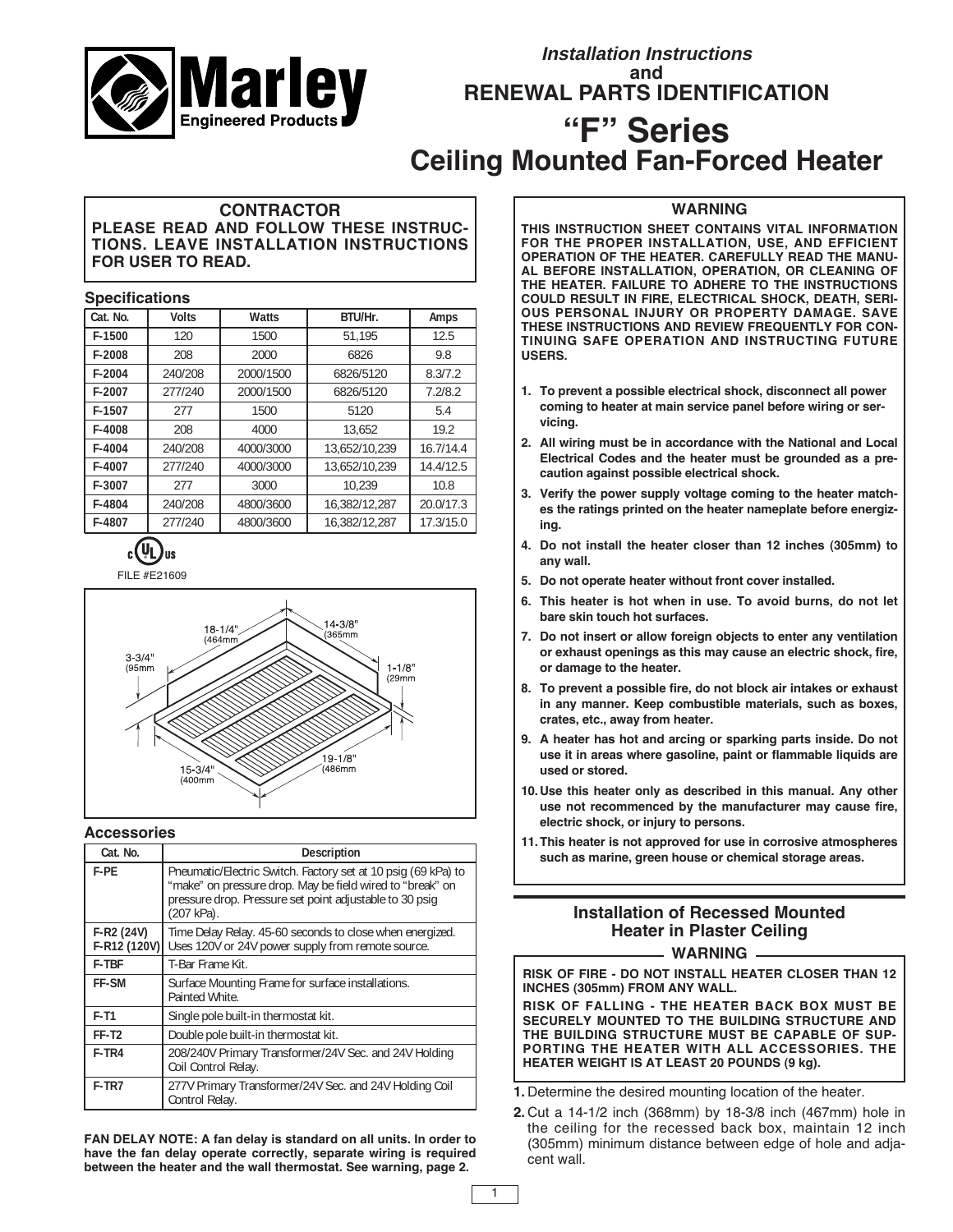

# **Installation Instructions and RENEWAL PARTS IDENTIFICATION**

# **"F" Series Ceiling Mounted Fan-Forced Heater**

## **CONTRACTOR PLEASE READ AND FOLLOW THESE INSTRUC-TIONS. LEAVE INSTALLATION INSTRUCTIONS FOR USER TO READ.**

#### **Specifications**

| Cat. No. | <b>Volts</b> | Watts     | BTU/Hr.       | Amps      |
|----------|--------------|-----------|---------------|-----------|
| F-1500   | 120          | 1500      | 51.195        | 12.5      |
| F-2008   | 208          | 2000      | 6826          | 9.8       |
| $F-2004$ | 240/208      | 2000/1500 | 6826/5120     | 8.3/7.2   |
| F-2007   | 277/240      | 2000/1500 | 6826/5120     | 7.2/8.2   |
| F-1507   | 277          | 1500      | 5120          | 5.4       |
| F-4008   | 208          | 4000      | 13.652        | 19.2      |
| F-4004   | 240/208      | 4000/3000 | 13.652/10.239 | 16.7/14.4 |
| F-4007   | 277/240      | 4000/3000 | 13.652/10.239 | 14.4/12.5 |
| F-3007   | 277          | 3000      | 10.239        | 10.8      |
| F-4804   | 240/208      | 4800/3600 | 16.382/12.287 | 20.0/17.3 |
| F-4807   | 277/240      | 4800/3600 | 16.382/12.287 | 17.3/15.0 |



FILE #E21609



#### **Accessories**

| Cat. No.                     | Description                                                                                                                                                                                         |  |  |
|------------------------------|-----------------------------------------------------------------------------------------------------------------------------------------------------------------------------------------------------|--|--|
| F-PF                         | Pneumatic/Electric Switch. Factory set at 10 psig (69 kPa) to<br>"make" on pressure drop. May be field wired to "break" on<br>pressure drop. Pressure set point adjustable to 30 psig<br>(207 kPa). |  |  |
| $F-R2 (24V)$<br>F-R12 (120V) | Time Delay Relay. 45-60 seconds to close when energized.<br>Uses 120V or 24V power supply from remote source.                                                                                       |  |  |
| <b>F-TBF</b>                 | T-Bar Frame Kit.                                                                                                                                                                                    |  |  |
| FF-SM                        | Surface Mounting Frame for surface installations.<br>Painted White.                                                                                                                                 |  |  |
| $F-T1$                       | Single pole built-in thermostat kit.                                                                                                                                                                |  |  |
| FF-T <sub>2</sub>            | Double pole built-in thermostat kit.                                                                                                                                                                |  |  |
| F-TR4                        | 208/240V Primary Transformer/24V Sec. and 24V Holding<br>Coil Control Relay.                                                                                                                        |  |  |
| F-TR7                        | 277V Primary Transformer/24V Sec. and 24V Holding Coil<br>Control Relay.                                                                                                                            |  |  |

**FAN DELAY NOTE: A fan delay is standard on all units. In order to have the fan delay operate correctly, separate wiring is required between the heater and the wall thermostat. See warning, page 2.**

# **WARNING**

**THIS INSTRUCTION SHEET CONTAINS VITAL INFORMATION FOR THE PROPER INSTALLATION, USE, AND EFFICIENT OPERATION OF THE HEATER. CAREFULLY READ THE MANU-AL BEFORE INSTALLATION, OPERATION, OR CLEANING OF THE HEATER. FAILURE TO ADHERE TO THE INSTRUCTIONS COULD RESULT IN FIRE, ELECTRICAL SHOCK, DEATH, SERI-OUS PERSONAL INJURY OR PROPERTY DAMAGE. SAVE THESE INSTRUCTIONS AND REVIEW FREQUENTLY FOR CON-TINUING SAFE OPERATION AND INSTRUCTING FUTURE USERS.**

- **1. To prevent a possible electrical shock, disconnect all power coming to heater at main service panel before wiring or servicing.**
- **2. All wiring must be in accordance with the National and Local Electrical Codes and the heater must be grounded as a precaution against possible electrical shock.**
- **3. Verify the power supply voltage coming to the heater matches the ratings printed on the heater nameplate before energizing.**
- **4. Do not install the heater closer than 12 inches (305mm) to any wall.**
- **5. Do not operate heater without front cover installed.**
- **6. This heater is hot when in use. To avoid burns, do not let bare skin touch hot surfaces.**
- **7. Do not insert or allow foreign objects to enter any ventilation or exhaust openings as this may cause an electric shock, fire, or damage to the heater.**
- **8. To prevent a possible fire, do not block air intakes or exhaust in any manner. Keep combustible materials, such as boxes, crates, etc., away from heater.**
- **9. A heater has hot and arcing or sparking parts inside. Do not use it in areas where gasoline, paint or flammable liquids are used or stored.**
- **10.Use this heater only as described in this manual. Any other use not recommenced by the manufacturer may cause fire, electric shock, or injury to persons.**
- **11.This heater is not approved for use in corrosive atmospheres such as marine, green house or chemical storage areas.**

# **Installation of Recessed Mounted Heater in Plaster Ceiling**

**WARNING**

**RISK OF FIRE - DO NOT INSTALL HEATER CLOSER THAN 12 INCHES (305mm) FROM ANY WALL.**

**RISK OF FALLING - THE HEATER BACK BOX MUST BE SECURELY MOUNTED TO THE BUILDING STRUCTURE AND THE BUILDING STRUCTURE MUST BE CAPABLE OF SUP-PORTING THE HEATER WITH ALL ACCESSORIES. THE HEATER WEIGHT IS AT LEAST 20 POUNDS (9 kg).**

**1.** Determine the desired mounting location of the heater.

1

**2.** Cut a 14-1/2 inch (368mm) by 18-3/8 inch (467mm) hole in the ceiling for the recessed back box, maintain 12 inch (305mm) minimum distance between edge of hole and adjacent wall.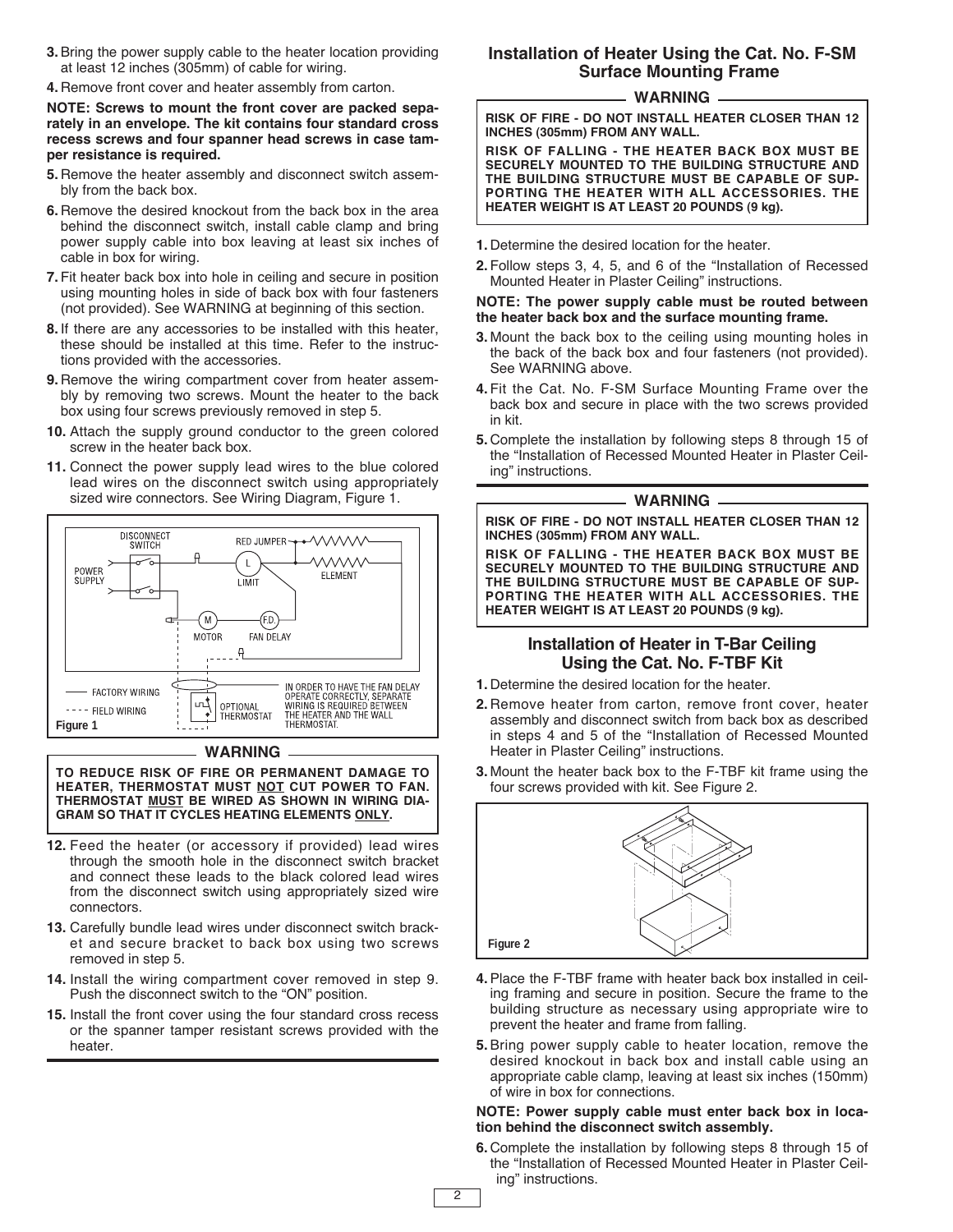- **3.**Bring the power supply cable to the heater location providing at least 12 inches (305mm) of cable for wiring.
- **4.** Remove front cover and heater assembly from carton.

**NOTE: Screws to mount the front cover are packed separately in an envelope. The kit contains four standard cross recess screws and four spanner head screws in case tamper resistance is required.**

- **5.** Remove the heater assembly and disconnect switch assembly from the back box.
- **6.** Remove the desired knockout from the back box in the area behind the disconnect switch, install cable clamp and bring power supply cable into box leaving at least six inches of cable in box for wiring.
- **7.** Fit heater back box into hole in ceiling and secure in position using mounting holes in side of back box with four fasteners (not provided). See WARNING at beginning of this section.
- **8.** If there are any accessories to be installed with this heater, these should be installed at this time. Refer to the instructions provided with the accessories.
- **9.** Remove the wiring compartment cover from heater assembly by removing two screws. Mount the heater to the back box using four screws previously removed in step 5.
- **10.** Attach the supply ground conductor to the green colored screw in the heater back box.
- **11.** Connect the power supply lead wires to the blue colored lead wires on the disconnect switch using appropriately sized wire connectors. See Wiring Diagram, Figure 1.



#### **WARNING**

**TO REDUCE RISK OF FIRE OR PERMANENT DAMAGE TO HEATER, THERMOSTAT MUST NOT CUT POWER TO FAN. THERMOSTAT MUST BE WIRED AS SHOWN IN WIRING DIA-GRAM SO THAT IT CYCLES HEATING ELEMENTS ONLY.**

- **12.** Feed the heater (or accessory if provided) lead wires through the smooth hole in the disconnect switch bracket and connect these leads to the black colored lead wires from the disconnect switch using appropriately sized wire connectors.
- **13.** Carefully bundle lead wires under disconnect switch bracket and secure bracket to back box using two screws removed in step 5.
- **14.** Install the wiring compartment cover removed in step 9. Push the disconnect switch to the "ON" position.
- **15.** Install the front cover using the four standard cross recess or the spanner tamper resistant screws provided with the heater.

# **Installation of Heater Using the Cat. No. F-SM Surface Mounting Frame**

#### **WARNING**

**RISK OF FIRE - DO NOT INSTALL HEATER CLOSER THAN 12 INCHES (305mm) FROM ANY WALL.**

**RISK OF FALLING - THE HEATER BACK BOX MUST BE SECURELY MOUNTED TO THE BUILDING STRUCTURE AND THE BUILDING STRUCTURE MUST BE CAPABLE OF SUP-PORTING THE HEATER WITH ALL ACCESSORIES. THE HEATER WEIGHT IS AT LEAST 20 POUNDS (9 kg).**

- **1.** Determine the desired location for the heater.
- **2.** Follow steps 3, 4, 5, and 6 of the "Installation of Recessed Mounted Heater in Plaster Ceiling" instructions.

#### **NOTE: The power supply cable must be routed between the heater back box and the surface mounting frame.**

- **3.** Mount the back box to the ceiling using mounting holes in the back of the back box and four fasteners (not provided). See WARNING above.
- **4.** Fit the Cat. No. F-SM Surface Mounting Frame over the back box and secure in place with the two screws provided in kit.
- **5.** Complete the installation by following steps 8 through 15 of the "Installation of Recessed Mounted Heater in Plaster Ceiling" instructions.

#### **WARNING**

**RISK OF FIRE - DO NOT INSTALL HEATER CLOSER THAN 12 INCHES (305mm) FROM ANY WALL.**

**RISK OF FALLING - THE HEATER BACK BOX MUST BE SECURELY MOUNTED TO THE BUILDING STRUCTURE AND THE BUILDING STRUCTURE MUST BE CAPABLE OF SUP-PORTING THE HEATER WITH ALL ACCESSORIES. THE HEATER WEIGHT IS AT LEAST 20 POUNDS (9 kg).**

## **Installation of Heater in T-Bar Ceiling Using the Cat. No. F-TBF Kit**

- **1.** Determine the desired location for the heater.
- **2.** Remove heater from carton, remove front cover, heater assembly and disconnect switch from back box as described in steps 4 and 5 of the "Installation of Recessed Mounted Heater in Plaster Ceiling" instructions.
- **3.** Mount the heater back box to the F-TBF kit frame using the four screws provided with kit. See Figure 2.



- **4.**Place the F-TBF frame with heater back box installed in ceiling framing and secure in position. Secure the frame to the building structure as necessary using appropriate wire to prevent the heater and frame from falling.
- **5.**Bring power supply cable to heater location, remove the desired knockout in back box and install cable using an appropriate cable clamp, leaving at least six inches (150mm) of wire in box for connections.

#### **NOTE: Power supply cable must enter back box in location behind the disconnect switch assembly.**

**6.** Complete the installation by following steps 8 through 15 of the "Installation of Recessed Mounted Heater in Plaster Ceiling" instructions.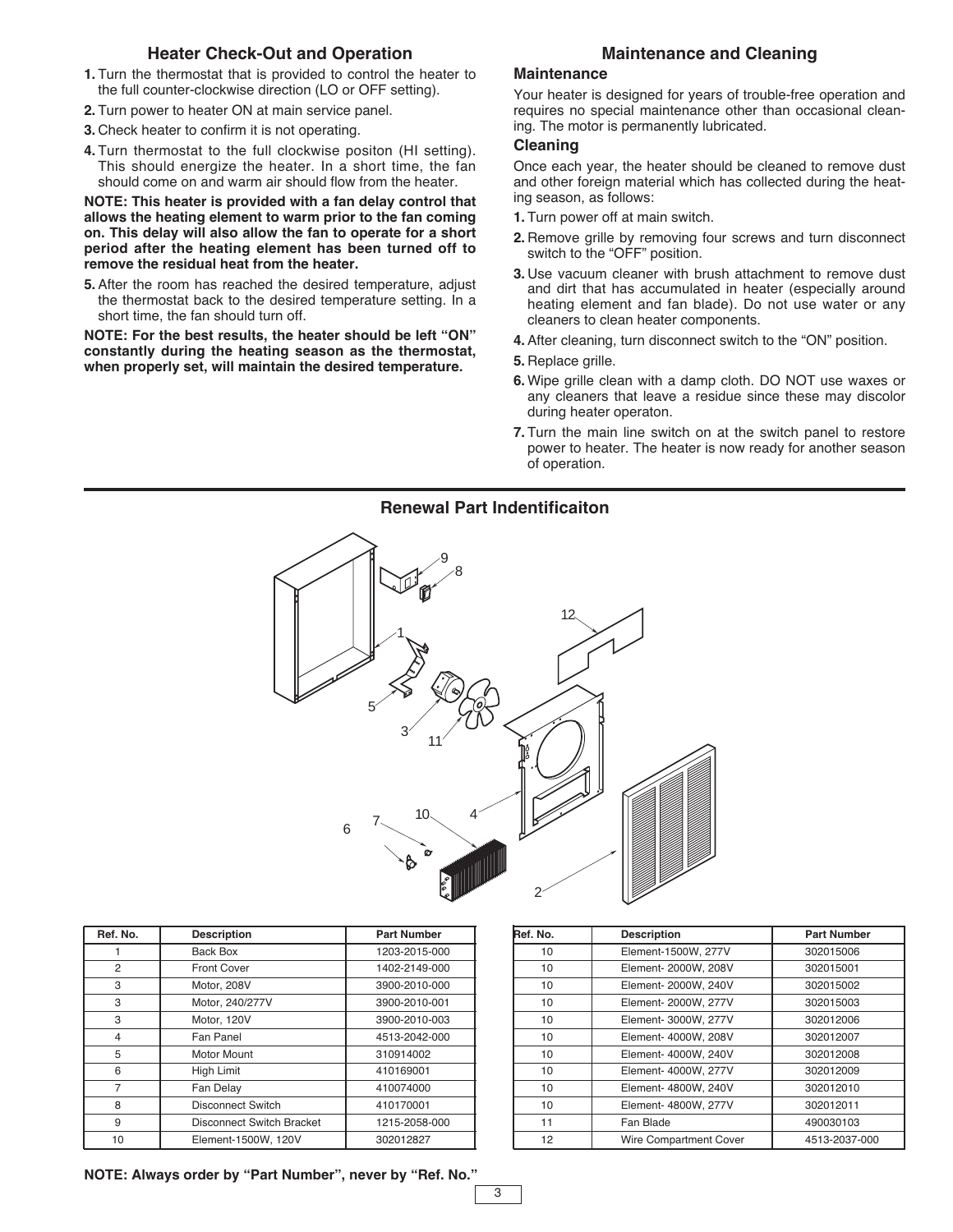## **Heater Check-Out and Operation**

- **1.** Turn the thermostat that is provided to control the heater to the full counter-clockwise direction (LO or OFF setting).
- **2.** Turn power to heater ON at main service panel.
- **3.** Check heater to confirm it is not operating.
- **4.** Turn thermostat to the full clockwise positon (HI setting). This should energize the heater. In a short time, the fan should come on and warm air should flow from the heater.

**NOTE: This heater is provided with a fan delay control that allows the heating element to warm prior to the fan coming on. This delay will also allow the fan to operate for a short period after the heating element has been turned off to remove the residual heat from the heater.**

**5.**After the room has reached the desired temperature, adjust the thermostat back to the desired temperature setting. In a short time, the fan should turn off.

**NOTE: For the best results, the heater should be left "ON" constantly during the heating season as the thermostat, when properly set, will maintain the desired temperature.**

### **Maintenance and Cleaning**

#### **Maintenance**

Your heater is designed for years of trouble-free operation and requires no special maintenance other than occasional cleaning. The motor is permanently lubricated.

#### **Cleaning**

Once each year, the heater should be cleaned to remove dust and other foreign material which has collected during the heating season, as follows:

- **1.** Turn power off at main switch.
- **2.** Remove grille by removing four screws and turn disconnect switch to the "OFF" position.
- **3.** Use vacuum cleaner with brush attachment to remove dust and dirt that has accumulated in heater (especially around heating element and fan blade). Do not use water or any cleaners to clean heater components.
- **4.**After cleaning, turn disconnect switch to the "ON" position.
- **5.** Replace grille.
- **6.** Wipe grille clean with a damp cloth. DO NOT use waxes or any cleaners that leave a residue since these may discolor during heater operaton.
- **7.** Turn the main line switch on at the switch panel to restore power to heater. The heater is now ready for another season of operation.

## **Renewal Part Indentificaiton**



| Ref. No.       | <b>Description</b>        | <b>Part Number</b> |
|----------------|---------------------------|--------------------|
|                | Back Box                  | 1203-2015-000      |
| 2              | <b>Front Cover</b>        | 1402-2149-000      |
| 3              | Motor, 208V               | 3900-2010-000      |
| 3              | Motor, 240/277V           | 3900-2010-001      |
| 3              | Motor, 120V               | 3900-2010-003      |
| $\overline{4}$ | Fan Panel                 | 4513-2042-000      |
| 5              | Motor Mount               | 310914002          |
| 6              | High Limit                | 410169001          |
| 7              | Fan Delay                 | 410074000          |
| 8              | <b>Disconnect Switch</b>  | 410170001          |
| 9              | Disconnect Switch Bracket | 1215-2058-000      |
| 10             | Element-1500W, 120V       | 302012827          |

| Ref. No. | <b>Description</b>     | <b>Part Number</b> |
|----------|------------------------|--------------------|
| 10       | Element-1500W, 277V    | 302015006          |
| 10       | Element- 2000W, 208V   | 302015001          |
| 10       | Element- 2000W, 240V   | 302015002          |
| 10       | Element- 2000W, 277V   | 302015003          |
| 10       | Element- 3000W, 277V   | 302012006          |
| 10       | Element- 4000W, 208V   | 302012007          |
| 10       | Element- 4000W, 240V   | 302012008          |
| 10       | Element- 4000W, 277V   | 302012009          |
| 10       | Element- 4800W, 240V   | 302012010          |
| 10       | Element- 4800W, 277V   | 302012011          |
| 11       | Fan Blade              | 490030103          |
| 12       | Wire Compartment Cover | 4513-2037-000      |

**NOTE: Always order by "Part Number", never by "Ref. No."**

3